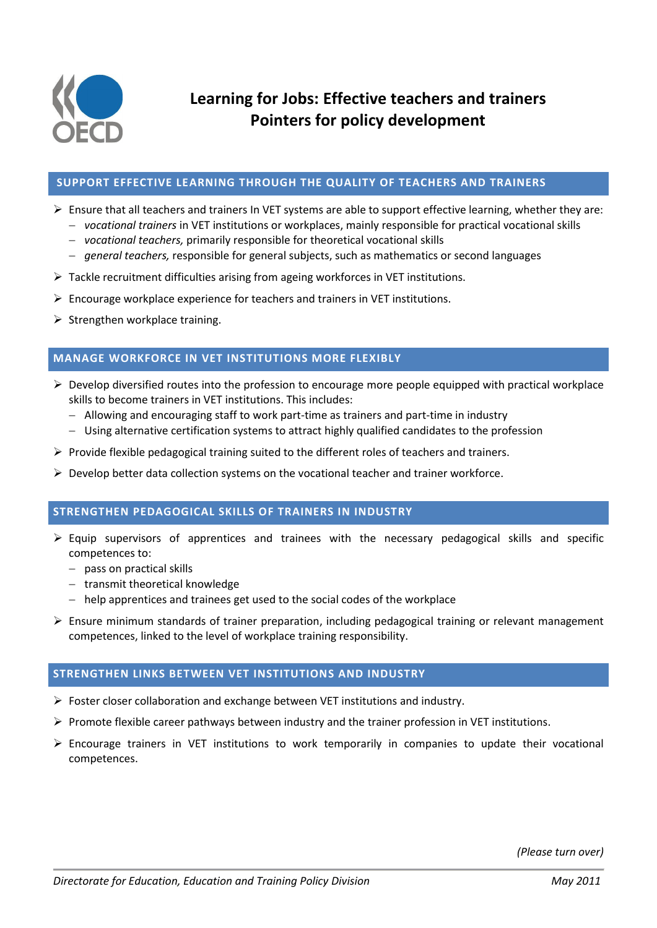

### **SUPPORT EFFECTIVE LEARNING THROUGH THE QUALITY OF TEACHERS AND TRAINERS**

- Ensure that all teachers and trainers In VET systems are able to support effective learning, whether they are:
	- *vocational trainers* in VET institutions or workplaces, mainly responsible for practical vocational skills
	- *vocational teachers,* primarily responsible for theoretical vocational skills
	- *general teachers,* responsible for general subjects, such as mathematics or second languages
- Tackle recruitment difficulties arising from ageing workforces in VET institutions.
- $\triangleright$  Encourage workplace experience for teachers and trainers in VET institutions.
- $\triangleright$  Strengthen workplace training.

## **MANAGE WORKFORCE IN VET INSTITUTIONS MORE FLEXIBLY**

- $\triangleright$  Develop diversified routes into the profession to encourage more people equipped with practical workplace skills to become trainers in VET institutions. This includes:
	- Allowing and encouraging staff to work part-time as trainers and part-time in industry
	- Using alternative certification systems to attract highly qualified candidates to the profession
- $\triangleright$  Provide flexible pedagogical training suited to the different roles of teachers and trainers.
- $\triangleright$  Develop better data collection systems on the vocational teacher and trainer workforce.

### **STRENGTHEN PEDAGOGICAL SKILLS OF TRAINERS IN INDUSTRY**

- $\triangleright$  Equip supervisors of apprentices and trainees with the necessary pedagogical skills and specific competences to:
	- $-$  pass on practical skills
	- transmit theoretical knowledge
	- help apprentices and trainees get used to the social codes of the workplace
- $\triangleright$  Ensure minimum standards of trainer preparation, including pedagogical training or relevant management competences, linked to the level of workplace training responsibility.

# **STRENGTHEN LINKS BETWEEN VET INSTITUTIONS AND INDUSTRY**

- Foster closer collaboration and exchange between VET institutions and industry.
- $\triangleright$  Promote flexible career pathways between industry and the trainer profession in VET institutions.
- $\triangleright$  Encourage trainers in VET institutions to work temporarily in companies to update their vocational competences.